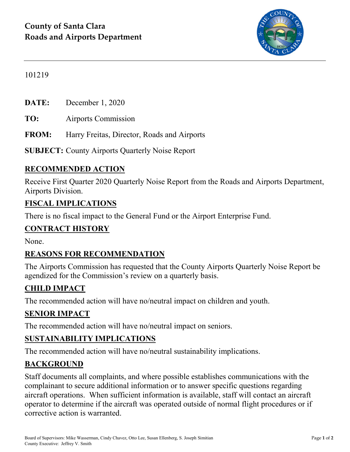

## 101219

**DATE:** December 1, 2020

**TO:** Airports Commission

**FROM:** Harry Freitas, Director, Roads and Airports

**SUBJECT:** County Airports Quarterly Noise Report

## **RECOMMENDED ACTION**

Receive First Quarter 2020 Quarterly Noise Report from the Roads and Airports Department, Airports Division.

#### **FISCAL IMPLICATIONS**

There is no fiscal impact to the General Fund or the Airport Enterprise Fund.

## **CONTRACT HISTORY**

None.

### **REASONS FOR RECOMMENDATION**

The Airports Commission has requested that the County Airports Quarterly Noise Report be agendized for the Commission's review on a quarterly basis.

### **CHILD IMPACT**

The recommended action will have no/neutral impact on children and youth.

### **SENIOR IMPACT**

The recommended action will have no/neutral impact on seniors.

## **SUSTAINABILITY IMPLICATIONS**

The recommended action will have no/neutral sustainability implications.

### **BACKGROUND**

Staff documents all complaints, and where possible establishes communications with the complainant to secure additional information or to answer specific questions regarding aircraft operations. When sufficient information is available, staff will contact an aircraft operator to determine if the aircraft was operated outside of normal flight procedures or if corrective action is warranted.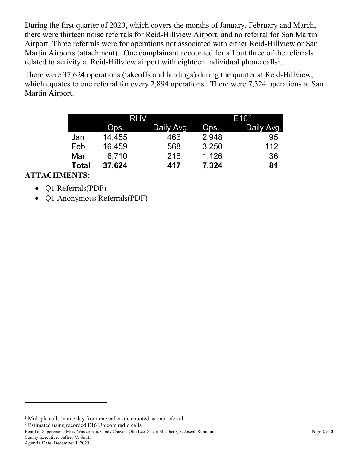During the first quarter of 2020, which covers the months of January, February and March, there were thirteen noise referrals for Reid-Hillview Airport, and no referral for San Martin Airport. Three referrals were for operations not associated with either Reid-Hillview or San Martin Airports (attachment). One complainant accounted for all but three of the referrals related to activity at Reid-Hillview airport with eighteen individual phone calls<sup>[1](#page-1-0)</sup>.

There were 37,624 operations (takeoffs and landings) during the quarter at Reid-Hillview, which equates to one referral for every 2,894 operations. There were 7,324 operations at San Martin Airport.

|              | <b>RHV</b> |            | E16 <sup>2</sup> |            |
|--------------|------------|------------|------------------|------------|
|              | Ops.       | Daily Avg. | Ops.             | Daily Avg. |
| Jan          | 14,455     | 466        | 2,948            | 95         |
| Feb          | 16,459     | 568        | 3,250            | 112        |
| Mar          | 6.710      | 216        | 1,126            | 36         |
| <b>Total</b> | 37,624     | 417        | 7,324            | 81         |

## **ATTACHMENTS:**

- Q1 Referrals(PDF)
- Q1 Anonymous Referrals(PDF)

<span id="page-1-1"></span><sup>2</sup> Estimated using recorded E16 Unicom radio calls.

Board of Supervisors: Mike Wasserman, Cindy Chavez, Otto Lee, Susan Ellenberg, S. Joseph Simitian Page **2** of **2** County Executive: Jeffrey V. Smith

Agenda Date: December 1, 2020

 $\overline{a}$ 

<span id="page-1-0"></span><sup>&</sup>lt;sup>1</sup> Multiple calls in one day from one caller are counted as one referral.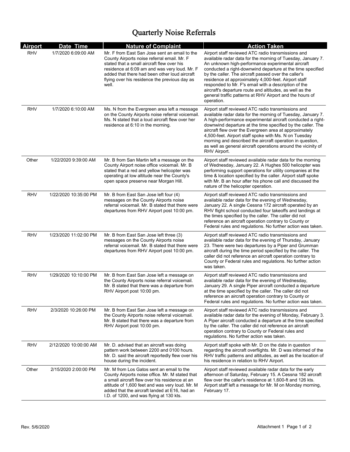# Quarterly Noise Referrals

| <b>Airport</b> | Date Time             | <b>Nature of Complaint</b>                                                                                                                                                                                                                                                                             | <b>Action Taken</b>                                                                                                                                                                                                                                                                                                                                                                                                                                                                                                                                |
|----------------|-----------------------|--------------------------------------------------------------------------------------------------------------------------------------------------------------------------------------------------------------------------------------------------------------------------------------------------------|----------------------------------------------------------------------------------------------------------------------------------------------------------------------------------------------------------------------------------------------------------------------------------------------------------------------------------------------------------------------------------------------------------------------------------------------------------------------------------------------------------------------------------------------------|
| <b>RHV</b>     | 1/7/2020 6:09:00 AM   | Mr. F from East San Jose sent an email to the<br>County Airports noise referral email. Mr. F<br>stated that a small aircraft flew over his<br>residence at 6:09 am and was very loud. Mr. F<br>added that there had been other loud aircraft<br>flying over his residence the previous day as<br>well. | Airport staff reviewed ATC radio transmissions and<br>available radar data for the morning of Tuesday, January 7.<br>An unknown high-performance experimental aircraft<br>conducted a right-downwind departure at the time specified<br>by the caller. The aircraft passed over the caller's<br>residence at approximately 4,000-feet. Airport staff<br>responded to Mr. F's email with a description of the<br>aircraft's departure route and altitudes, as well as the<br>general traffic patterns at RHV Airport and the hours of<br>operation. |
| RHV            | 1/7/2020 6:10:00 AM   | Ms. N from the Evergreen area left a message<br>on the County Airports noise referral voicemail.<br>Ms. N stated that a loud aircraft flew over her<br>residence at 6:10 in the morning.                                                                                                               | Airport staff reviewed ATC radio transmissions and<br>available radar data for the morning of Tuesday, January 7.<br>A high-performance experimental aircraft conducted a right-<br>downwind departure at the time specified by the caller. The<br>aircraft flew over the Evergreen area at approximately<br>4,500-feet. Airport staff spoke with Ms. N on Tuesday<br>morning and described the aircraft operation in question,<br>as well as general aircraft operations around the vicinity of<br>RHV Airport.                                   |
| Other          | 1/22/2020 9:39:00 AM  | Mr. B from San Martin left a message on the<br>County Airport noise office voicemail. Mr. B<br>stated that a red and yellow helicopter was<br>operating at low altitude near the County's<br>open space preserve near Morgan Hill.                                                                     | Airport staff reviewed available radar data for the morning<br>of Wednesday, January 22. A Hughes 500 helicopter was<br>performing support operations for utility companies at the<br>time & location specified by the caller. Airport staff spoke<br>with Mr. B an hour after his phone call and discussed the<br>nature of the helicopter operation.                                                                                                                                                                                             |
| RHV            | 1/22/2020 10:35:00 PM | Mr. B from East San Jose left four (4)<br>messages on the County Airports noise<br>referral voicemail. Mr. B stated that there were<br>departures from RHV Airport post 10:00 pm.                                                                                                                      | Airport staff reviewed ATC radio transmissions and<br>available radar data for the evening of Wednesday,<br>January 22. A single Cessna 172 aircraft operated by an<br>RHV flight school conducted four takeoffs and landings at<br>the times specified by the caller. The caller did not<br>reference an aircraft operation contrary to County or<br>Federal rules and regulations. No further action was taken.                                                                                                                                  |
| RHV            | 1/23/2020 11:02:00 PM | Mr. B from East San Jose left three (3)<br>messages on the County Airports noise<br>referral voicemail. Mr. B stated that there were<br>departures from RHV Airport post 10:00 pm.                                                                                                                     | Airport staff reviewed ATC radio transmissions and<br>available radar data for the evening of Thursday, January<br>23. There were two departures by a Piper and Grumman<br>aircraft during the time period specified by the caller. The<br>caller did not reference an aircraft operation contrary to<br>County or Federal rules and regulations. No further action<br>was taken.                                                                                                                                                                  |
| RHV            | 1/29/2020 10:10:00 PM | Mr. B from East San Jose left a message on<br>the County Airports noise referral voicemail.<br>Mr. B stated that there was a departure from<br>RHV Airport post 10:00 pm.                                                                                                                              | Airport staff reviewed ATC radio transmissions and<br>available radar data for the evening of Wednesday,<br>January 29. A single Piper aircraft conducted a departure<br>at the time specified by the caller. The caller did not<br>reference an aircraft operation contrary to County or<br>Federal rules and regulations. No further action was taken.                                                                                                                                                                                           |
| RHV            | 2/3/2020 10:26:00 PM  | Mr. B from East San Jose left a message on<br>the County Airports noise referral voicemail.<br>Mr. B stated that there was a departure from<br>RHV Airport post 10:00 pm.                                                                                                                              | Airport staff reviewed ATC radio transmissions and<br>available radar data for the evening of Monday, February 3.<br>A Piper aircraft conducted a departure at the time specified<br>by the caller. The caller did not reference an aircraft<br>operation contrary to County or Federal rules and<br>regulations. No further action was taken.                                                                                                                                                                                                     |
| <b>RHV</b>     | 2/12/2020 10:00:00 AM | Mr. D. advised that an aircraft was doing<br>pattern work between 2200 and 0100 hours.<br>Mr. D. said the aircraft reportedly flew over his<br>house during the incident.                                                                                                                              | Airport staff spoke with Mr. D on the date in question<br>regarding the aircraft overflights. Mr. D was informed of the<br>RHV traffic patterns and altitudes, as well as the location of<br>his residence in relation to RHV Airport.                                                                                                                                                                                                                                                                                                             |
| Other          | 2/15/2020 2:00:00 PM  | Mr. M from Los Gatos sent an email to the<br>County Airports noise office. Mr. M stated that<br>a small aircraft flew over his residence at an<br>altitude of 1,600 feet and was very loud. Mr. M<br>added that the aircraft landed at E16, had an<br>I.D. of 1200, and was flying at 130 kts.         | Airport staff reviewed available radar data for the early<br>afternoon of Saturday, February 15. A Cessna 182 aircraft<br>flew over the caller's residence at 1,600-ft and 126 kts.<br>Airport staff left a message for Mr. M on Monday morning,<br>February 17.                                                                                                                                                                                                                                                                                   |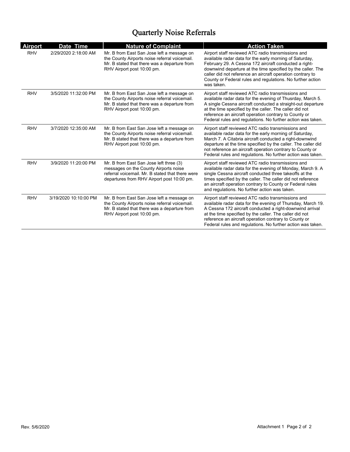# Quarterly Noise Referrals

| <b>Airport</b> | Date Time             | <b>Nature of Complaint</b>                                                                                                                                                         | <b>Action Taken</b>                                                                                                                                                                                                                                                                                                                                                             |
|----------------|-----------------------|------------------------------------------------------------------------------------------------------------------------------------------------------------------------------------|---------------------------------------------------------------------------------------------------------------------------------------------------------------------------------------------------------------------------------------------------------------------------------------------------------------------------------------------------------------------------------|
| <b>RHV</b>     | 2/29/2020 2:18:00 AM  | Mr. B from East San Jose left a message on<br>the County Airports noise referral voicemail.<br>Mr. B stated that there was a departure from<br>RHV Airport post 10:00 pm.          | Airport staff reviewed ATC radio transmissions and<br>available radar data for the early morning of Saturday,<br>February 29. A Cessna 172 aircraft conducted a right-<br>downwind departure at the time specified by the caller. The<br>caller did not reference an aircraft operation contrary to<br>County or Federal rules and regulations. No further action<br>was taken. |
| <b>RHV</b>     | 3/5/2020 11:32:00 PM  | Mr. B from East San Jose left a message on<br>the County Airports noise referral voicemail.<br>Mr. B stated that there was a departure from<br>RHV Airport post 10:00 pm.          | Airport staff reviewed ATC radio transmissions and<br>available radar data for the evening of Thusrday, March 5.<br>A single Cessna aircraft conducted a straight-out departure<br>at the time specified by the caller. The caller did not<br>reference an aircraft operation contrary to County or<br>Federal rules and regulations. No further action was taken.              |
| <b>RHV</b>     | 3/7/2020 12:35:00 AM  | Mr. B from East San Jose left a message on<br>the County Airports noise referral voicemail.<br>Mr. B stated that there was a departure from<br>RHV Airport post 10:00 pm.          | Airport staff reviewed ATC radio transmissions and<br>available radar data for the early morning of Saturday,<br>March 7. A Citabria aircraft conducted a right-downwind<br>departure at the time specified by the caller. The caller did<br>not reference an aircraft operation contrary to County or<br>Federal rules and regulations. No further action was taken.           |
| <b>RHV</b>     | 3/9/2020 11:20:00 PM  | Mr. B from East San Jose left three (3)<br>messages on the County Airports noise<br>referral voicemail. Mr. B stated that there were<br>departures from RHV Airport post 10:00 pm. | Airport staff reviewed ATC radio transmissions and<br>available radar data for the evening of Monday, March 9. A<br>single Cessna aircraft conducted three takeoffs at the<br>times specified by the caller. The caller did not reference<br>an aircraft operation contrary to County or Federal rules<br>and regulations. No further action was taken.                         |
| <b>RHV</b>     | 3/19/2020 10:10:00 PM | Mr. B from East San Jose left a message on<br>the County Airports noise referral voicemail.<br>Mr. B stated that there was a departure from<br>RHV Airport post 10:00 pm.          | Airport staff reviewed ATC radio transmissions and<br>available radar data for the evening of Thursday, March 19.<br>A Cessna 172 aircraft conducted a right-downwind arrival<br>at the time specified by the caller. The caller did not<br>reference an aircraft operation contrary to County or<br>Federal rules and regulations. No further action was taken.                |